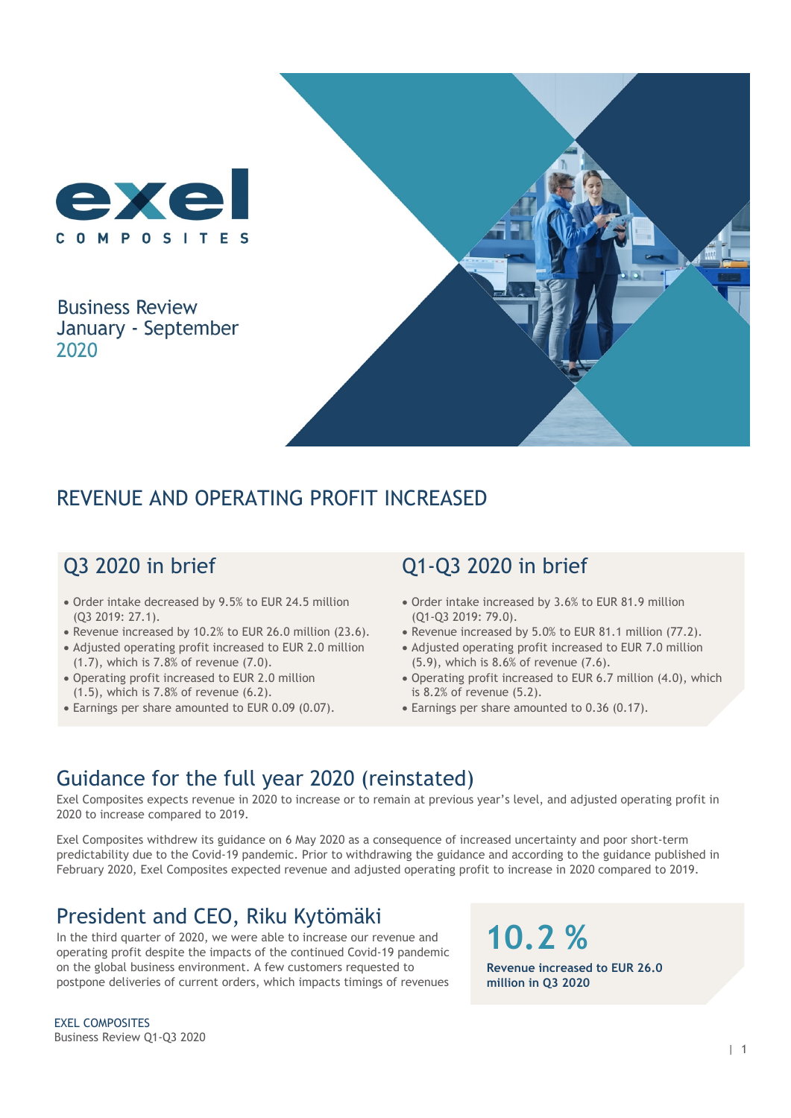

**Business Review** January - September 2020



## REVENUE AND OPERATING PROFIT INCREASED

# Q3 2020 in brief

- Order intake decreased by 9.5% to EUR 24.5 million (Q3 2019: 27.1).
- Revenue increased by 10.2% to EUR 26.0 million (23.6).
- Adjusted operating profit increased to EUR 2.0 million (1.7), which is 7.8% of revenue (7.0).
- Operating profit increased to EUR 2.0 million (1.5), which is 7.8% of revenue (6.2).
- Earnings per share amounted to EUR 0.09 (0.07).

# Q1-Q3 2020 in brief

- Order intake increased by 3.6% to EUR 81.9 million (Q1-Q3 2019: 79.0).
- Revenue increased by 5.0% to EUR 81.1 million (77.2).
- Adjusted operating profit increased to EUR 7.0 million (5.9), which is 8.6% of revenue (7.6).
- Operating profit increased to EUR 6.7 million (4.0), which is 8.2% of revenue (5.2).
- Earnings per share amounted to 0.36 (0.17).

## Guidance for the full year 2020 (reinstated)

Exel Composites expects revenue in 2020 to increase or to remain at previous year's level, and adjusted operating profit in 2020 to increase compared to 2019.

Exel Composites withdrew its guidance on 6 May 2020 as a consequence of increased uncertainty and poor short-term predictability due to the Covid-19 pandemic. Prior to withdrawing the guidance and according to the guidance published in February 2020, Exel Composites expected revenue and adjusted operating profit to increase in 2020 compared to 2019.

## President and CEO, Riku Kytömäki

In the third quarter of 2020, we were able to increase our revenue and operating profit despite the impacts of the continued Covid-19 pandemic on the global business environment. A few customers requested to postpone deliveries of current orders, which impacts timings of revenues

**Revenue increased to EUR 26.0 million in Q3 2020**

**10.2 %**

EXEL COMPOSITES Business Review Q1-Q3 2020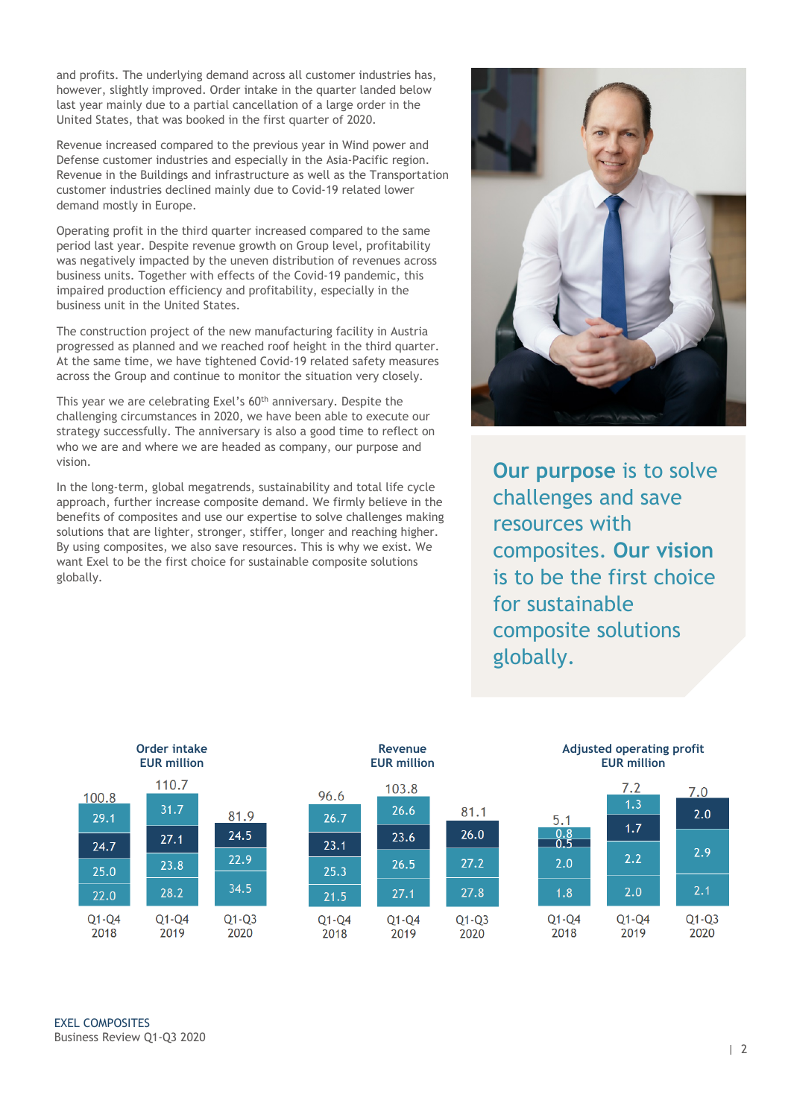and profits. The underlying demand across all customer industries has, however, slightly improved. Order intake in the quarter landed below last year mainly due to a partial cancellation of a large order in the United States, that was booked in the first quarter of 2020.

Revenue increased compared to the previous year in Wind power and Defense customer industries and especially in the Asia-Pacific region. Revenue in the Buildings and infrastructure as well as the Transportation customer industries declined mainly due to Covid-19 related lower demand mostly in Europe.

Operating profit in the third quarter increased compared to the same period last year. Despite revenue growth on Group level, profitability was negatively impacted by the uneven distribution of revenues across business units. Together with effects of the Covid-19 pandemic, this impaired production efficiency and profitability, especially in the business unit in the United States.

The construction project of the new manufacturing facility in Austria progressed as planned and we reached roof height in the third quarter. At the same time, we have tightened Covid-19 related safety measures across the Group and continue to monitor the situation very closely.

This year we are celebrating Exel's 60<sup>th</sup> anniversary. Despite the challenging circumstances in 2020, we have been able to execute our strategy successfully. The anniversary is also a good time to reflect on who we are and where we are headed as company, our purpose and vision.

In the long-term, global megatrends, sustainability and total life cycle approach, further increase composite demand. We firmly believe in the benefits of composites and use our expertise to solve challenges making solutions that are lighter, stronger, stiffer, longer and reaching higher. By using composites, we also save resources. This is why we exist. We want Exel to be the first choice for sustainable composite solutions globally.



**Our purpose** is to solve challenges and save resources with composites. **Our vision** is to be the first choice for sustainable composite solutions globally.

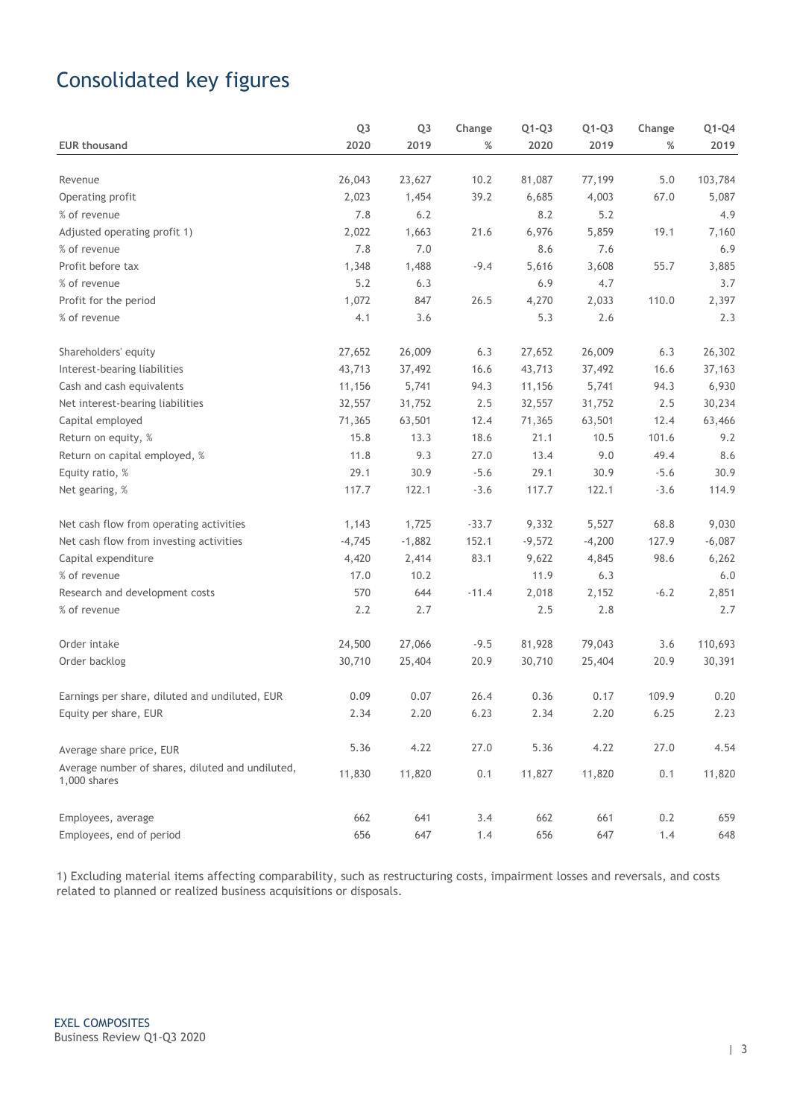# Consolidated key figures

|                                                                  | Q <sub>3</sub> | Q <sub>3</sub> | Change  | $Q1-Q3$  | $Q1-Q3$  | Change | $Q1-Q4$  |
|------------------------------------------------------------------|----------------|----------------|---------|----------|----------|--------|----------|
| <b>EUR thousand</b>                                              | 2020           | 2019           | %       | 2020     | 2019     | %      | 2019     |
|                                                                  |                |                |         |          |          |        |          |
| Revenue                                                          | 26,043         | 23,627         | 10.2    | 81,087   | 77,199   | 5.0    | 103,784  |
| Operating profit                                                 | 2,023          | 1,454          | 39.2    | 6,685    | 4,003    | 67.0   | 5,087    |
| % of revenue                                                     | 7.8            | 6.2            |         | 8.2      | 5.2      |        | 4.9      |
| Adjusted operating profit 1)                                     | 2,022          | 1,663          | 21.6    | 6,976    | 5,859    | 19.1   | 7,160    |
| % of revenue                                                     | 7.8            | 7.0            |         | 8.6      | 7.6      |        | 6.9      |
| Profit before tax                                                | 1,348          | 1,488          | $-9.4$  | 5,616    | 3,608    | 55.7   | 3,885    |
| % of revenue                                                     | 5.2            | 6.3            |         | 6.9      | 4.7      |        | 3.7      |
| Profit for the period                                            | 1,072          | 847            | 26.5    | 4,270    | 2,033    | 110.0  | 2,397    |
| % of revenue                                                     | 4.1            | 3.6            |         | 5.3      | 2.6      |        | 2.3      |
| Shareholders' equity                                             | 27,652         | 26,009         | 6.3     | 27,652   | 26,009   | 6.3    | 26,302   |
| Interest-bearing liabilities                                     | 43,713         | 37,492         | 16.6    | 43,713   | 37,492   | 16.6   | 37,163   |
| Cash and cash equivalents                                        | 11,156         | 5,741          | 94.3    | 11,156   | 5,741    | 94.3   | 6,930    |
| Net interest-bearing liabilities                                 | 32,557         | 31,752         | 2.5     | 32,557   | 31,752   | 2.5    | 30,234   |
| Capital employed                                                 | 71,365         | 63,501         | 12.4    | 71,365   | 63,501   | 12.4   | 63,466   |
| Return on equity, %                                              | 15.8           | 13.3           | 18.6    | 21.1     | 10.5     | 101.6  | 9.2      |
| Return on capital employed, %                                    | 11.8           | 9.3            | 27.0    | 13.4     | 9.0      | 49.4   | 8.6      |
| Equity ratio, %                                                  | 29.1           | 30.9           | $-5.6$  | 29.1     | 30.9     | $-5.6$ | 30.9     |
| Net gearing, %                                                   | 117.7          | 122.1          | $-3.6$  | 117.7    | 122.1    | $-3.6$ | 114.9    |
| Net cash flow from operating activities                          | 1,143          | 1,725          | $-33.7$ | 9,332    | 5,527    | 68.8   | 9,030    |
| Net cash flow from investing activities                          | $-4,745$       | $-1,882$       | 152.1   | $-9,572$ | $-4,200$ | 127.9  | $-6,087$ |
| Capital expenditure                                              | 4,420          | 2,414          | 83.1    | 9,622    | 4,845    | 98.6   | 6,262    |
| % of revenue                                                     | 17.0           | 10.2           |         | 11.9     | 6.3      |        | 6.0      |
| Research and development costs                                   | 570            | 644            | $-11.4$ | 2,018    | 2,152    | $-6.2$ | 2,851    |
| % of revenue                                                     | 2.2            | 2.7            |         | 2.5      | 2.8      |        | 2.7      |
| Order intake                                                     | 24,500         | 27,066         | $-9.5$  | 81,928   | 79,043   | 3.6    | 110,693  |
| Order backlog                                                    | 30,710         | 25,404         | 20.9    | 30,710   | 25,404   | 20.9   | 30,391   |
| Earnings per share, diluted and undiluted, EUR                   | 0.09           | 0.07           | 26.4    | 0.36     | 0.17     | 109.9  | 0.20     |
| Equity per share, EUR                                            | 2.34           | 2.20           | 6.23    | 2.34     | 2.20     | 6.25   | 2.23     |
| Average share price, EUR                                         | 5.36           | 4.22           | 27.0    | 5.36     | 4.22     | 27.0   | 4.54     |
| Average number of shares, diluted and undiluted,<br>1,000 shares | 11,830         | 11,820         | 0.1     | 11,827   | 11,820   | 0.1    | 11,820   |
| Employees, average                                               | 662            | 641            | 3.4     | 662      | 661      | 0.2    | 659      |
| Employees, end of period                                         | 656            | 647            | 1.4     | 656      | 647      | 1.4    | 648      |

1) Excluding material items affecting comparability, such as restructuring costs, impairment losses and reversals, and costs related to planned or realized business acquisitions or disposals.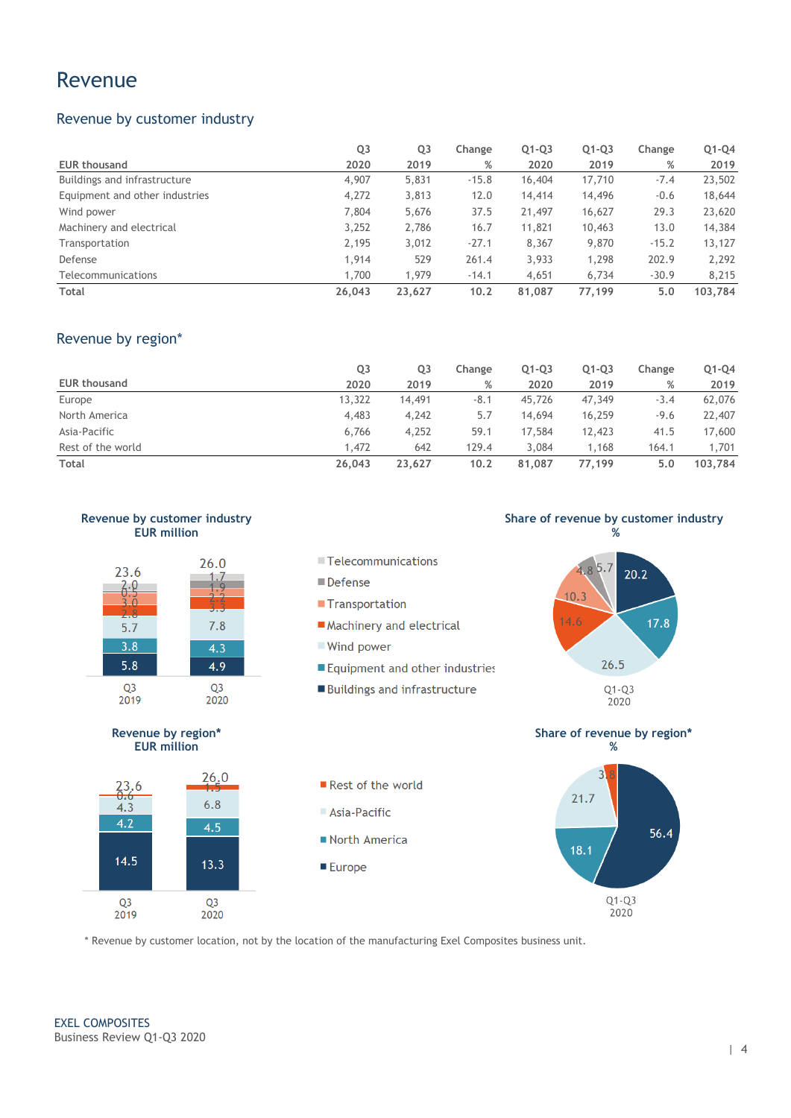### Revenue

### Revenue by customer industry

|                                | Q <sub>3</sub> | Q3     | Change  | $Q1-Q3$ | $Q1-Q3$ | Change  | $Q1-Q4$ |
|--------------------------------|----------------|--------|---------|---------|---------|---------|---------|
| <b>EUR thousand</b>            | 2020           | 2019   | %       | 2020    | 2019    | %       | 2019    |
| Buildings and infrastructure   | 4,907          | 5,831  | $-15.8$ | 16,404  | 17,710  | $-7.4$  | 23,502  |
| Equipment and other industries | 4,272          | 3,813  | 12.0    | 14,414  | 14,496  | $-0.6$  | 18,644  |
| Wind power                     | 7,804          | 5,676  | 37.5    | 21,497  | 16,627  | 29.3    | 23,620  |
| Machinery and electrical       | 3,252          | 2,786  | 16.7    | 11,821  | 10,463  | 13.0    | 14,384  |
| Transportation                 | 2,195          | 3,012  | $-27.1$ | 8,367   | 9,870   | $-15.2$ | 13,127  |
| Defense                        | 1,914          | 529    | 261.4   | 3,933   | 1,298   | 202.9   | 2,292   |
| Telecommunications             | 1,700          | 1.979  | $-14.1$ | 4,651   | 6.734   | $-30.9$ | 8,215   |
| Total                          | 26,043         | 23,627 | 10.2    | 81,087  | 77,199  | 5.0     | 103,784 |

### Revenue by region\*

|                     | Q3     | Q3     | Change | $Q1-Q3$ | $Q1-Q3$ | Change | Q1-Q4   |
|---------------------|--------|--------|--------|---------|---------|--------|---------|
| <b>EUR thousand</b> | 2020   | 2019   | %      | 2020    | 2019    | %      | 2019    |
| Europe              | 13,322 | 14,491 | $-8.1$ | 45,726  | 47,349  | $-3.4$ | 62,076  |
| North America       | 4,483  | 4,242  | 5.7    | 14,694  | 16,259  | $-9.6$ | 22,407  |
| Asia-Pacific        | 6.766  | 4,252  | 59.1   | 17,584  | 12,423  | 41.5   | 17,600  |
| Rest of the world   | 1,472  | 642    | 129.4  | 3.084   | 1,168   | 164.1  | 1,701   |
| Total               | 26,043 | 23.627 | 10.2   | 81,087  | 77.199  | 5.0    | 103,784 |









#### **Defense**

- **Transportation**
- Machinery and electrical
- Wind power
- Equipment and other industries
- Buildings and infrastructure

**Share of revenue by customer industry %**







Rest of the world Asia-Pacific North America ■ Europe





\* Revenue by customer location, not by the location of the manufacturing Exel Composites business unit.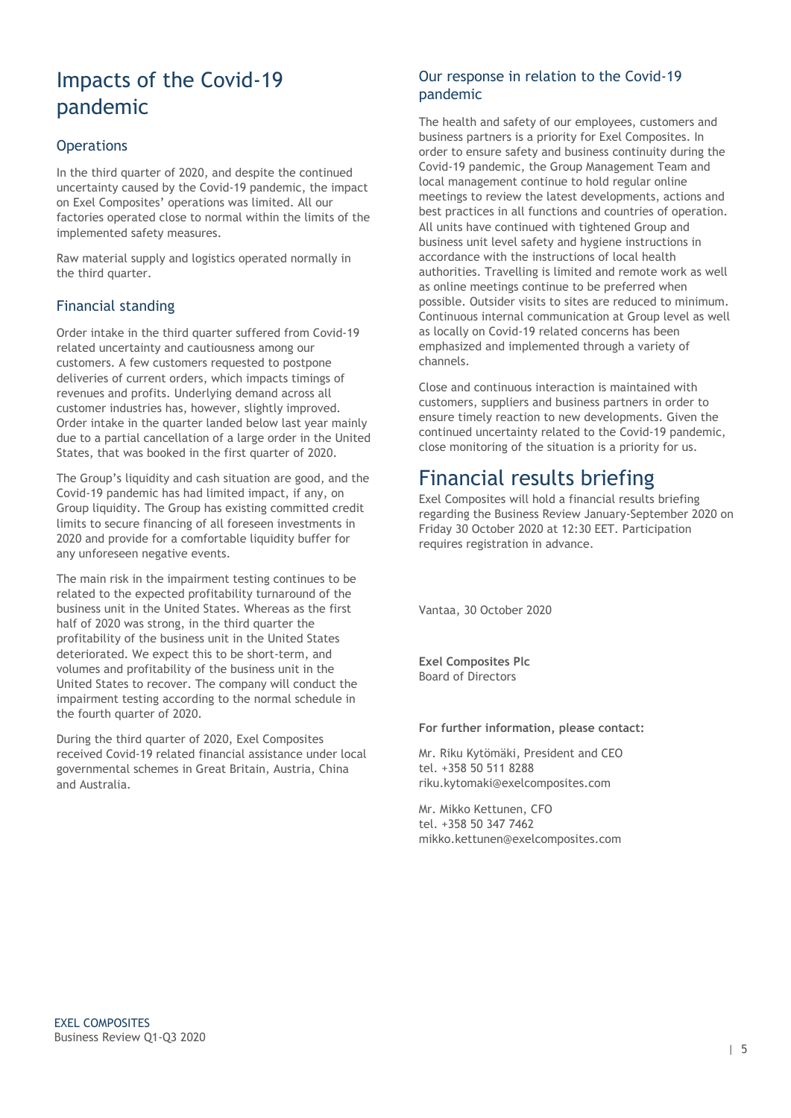# Impacts of the Covid-19 pandemic

### **Operations**

In the third quarter of 2020, and despite the continued uncertainty caused by the Covid-19 pandemic, the impact on Exel Composites' operations was limited. All our factories operated close to normal within the limits of the implemented safety measures.

Raw material supply and logistics operated normally in the third quarter.

### Financial standing

Order intake in the third quarter suffered from Covid-19 related uncertainty and cautiousness among our customers. A few customers requested to postpone deliveries of current orders, which impacts timings of revenues and profits. Underlying demand across all customer industries has, however, slightly improved. Order intake in the quarter landed below last year mainly due to a partial cancellation of a large order in the United States, that was booked in the first quarter of 2020.

The Group's liquidity and cash situation are good, and the Covid-19 pandemic has had limited impact, if any, on Group liquidity. The Group has existing committed credit limits to secure financing of all foreseen investments in 2020 and provide for a comfortable liquidity buffer for any unforeseen negative events.

The main risk in the impairment testing continues to be related to the expected profitability turnaround of the business unit in the United States. Whereas as the first half of 2020 was strong, in the third quarter the profitability of the business unit in the United States deteriorated. We expect this to be short-term, and volumes and profitability of the business unit in the United States to recover. The company will conduct the impairment testing according to the normal schedule in the fourth quarter of 2020.

During the third quarter of 2020, Exel Composites received Covid-19 related financial assistance under local governmental schemes in Great Britain, Austria, China and Australia.

### Our response in relation to the Covid-19 pandemic

The health and safety of our employees, customers and business partners is a priority for Exel Composites. In order to ensure safety and business continuity during the Covid-19 pandemic, the Group Management Team and local management continue to hold regular online meetings to review the latest developments, actions and best practices in all functions and countries of operation. All units have continued with tightened Group and business unit level safety and hygiene instructions in accordance with the instructions of local health authorities. Travelling is limited and remote work as well as online meetings continue to be preferred when possible. Outsider visits to sites are reduced to minimum. Continuous internal communication at Group level as well as locally on Covid-19 related concerns has been emphasized and implemented through a variety of channels.

Close and continuous interaction is maintained with customers, suppliers and business partners in order to ensure timely reaction to new developments. Given the continued uncertainty related to the Covid-19 pandemic, close monitoring of the situation is a priority for us.

## Financial results briefing

Exel Composites will hold a financial results briefing regarding the Business Review January-September 2020 on Friday 30 October 2020 at 12:30 EET. Participation requires registration in advance.

Vantaa, 30 October 2020

**Exel Composites Plc** Board of Directors

#### **For further information, please contact:**

Mr. Riku Kytömäki, President and CEO tel. +358 50 511 8288 riku.kytomaki@exelcomposites.com

Mr. Mikko Kettunen, CFO tel. +358 50 347 7462 mikko.kettunen@exelcomposites.com